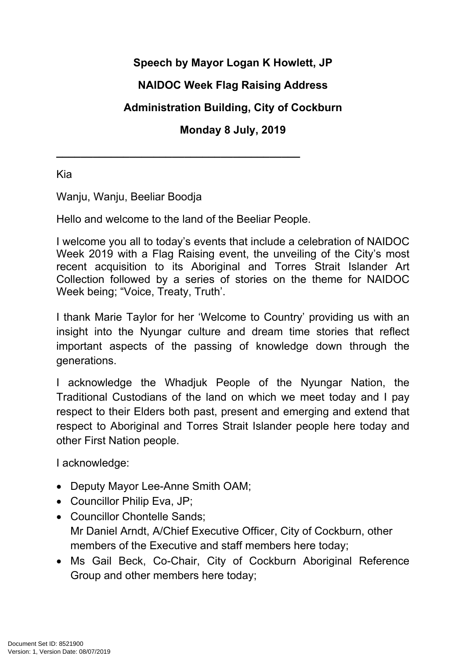## **Speech by Mayor Logan K Howlett, JP**

# **NAIDOC Week Flag Raising Address**

## **Administration Building, City of Cockburn**

#### **Monday 8 July, 2019**

Kia

Wanju, Wanju, Beeliar Boodja

Hello and welcome to the land of the Beeliar People.

**\_\_\_\_\_\_\_\_\_\_\_\_\_\_\_\_\_\_\_\_\_\_\_\_\_\_\_\_\_\_\_\_\_\_\_\_\_\_\_\_**

I welcome you all to today's events that include a celebration of NAIDOC Week 2019 with a Flag Raising event, the unveiling of the City's most recent acquisition to its Aboriginal and Torres Strait Islander Art Collection followed by a series of stories on the theme for NAIDOC Week being; "Voice, Treaty, Truth'.

I thank Marie Taylor for her 'Welcome to Country' providing us with an insight into the Nyungar culture and dream time stories that reflect important aspects of the passing of knowledge down through the generations.

I acknowledge the Whadjuk People of the Nyungar Nation, the Traditional Custodians of the land on which we meet today and I pay respect to their Elders both past, present and emerging and extend that respect to Aboriginal and Torres Strait Islander people here today and other First Nation people.

I acknowledge:

- Deputy Mayor Lee-Anne Smith OAM;
- Councillor Philip Eva, JP;
- Councillor Chontelle Sands; Mr Daniel Arndt, A/Chief Executive Officer, City of Cockburn, other members of the Executive and staff members here today;
- Ms Gail Beck, Co-Chair, City of Cockburn Aboriginal Reference Group and other members here today;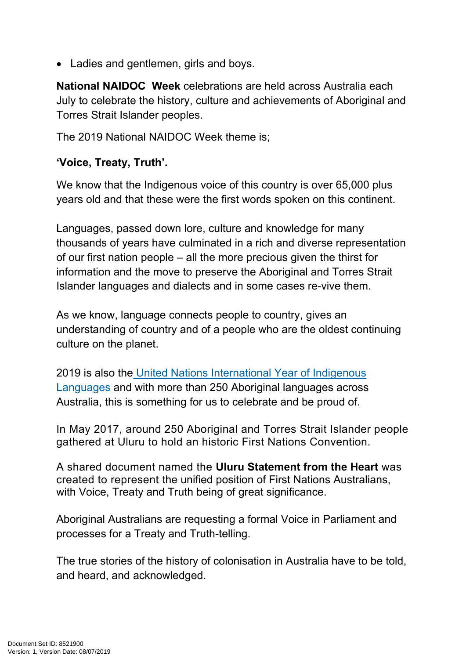• Ladies and gentlemen, girls and boys.

**National NAIDOC Week** celebrations are held across Australia each July to celebrate the history, culture and achievements of Aboriginal and Torres Strait Islander peoples.

The 2019 National NAIDOC Week theme is;

#### **'Voice, Treaty, Truth'.**

We know that the Indigenous voice of this country is over 65,000 plus years old and that these were the first words spoken on this continent.

Languages, passed down lore, culture and knowledge for many thousands of years have culminated in a rich and diverse representation of our first nation people – all the more precious given the thirst for information and the move to preserve the Aboriginal and Torres Strait Islander languages and dialects and in some cases re-vive them.

As we know, language connects people to country, gives an understanding of country and of a people who are the oldest continuing culture on the planet.

2019 is also th[e United Nations International Year of Indigenous](https://en.iyil2019.org/)  [Languages](https://en.iyil2019.org/) and with more than 250 Aboriginal languages across Australia, this is something for us to celebrate and be proud of.

In May 2017, around 250 Aboriginal and Torres Strait Islander people gathered at Uluru to hold an historic First Nations Convention.

A shared document named the **Uluru Statement from the Heart** was created to represent the unified position of First Nations Australians, with Voice, Treaty and Truth being of great significance.

Aboriginal Australians are requesting a formal Voice in Parliament and processes for a Treaty and Truth-telling.

The true stories of the history of colonisation in Australia have to be told, and heard, and acknowledged.